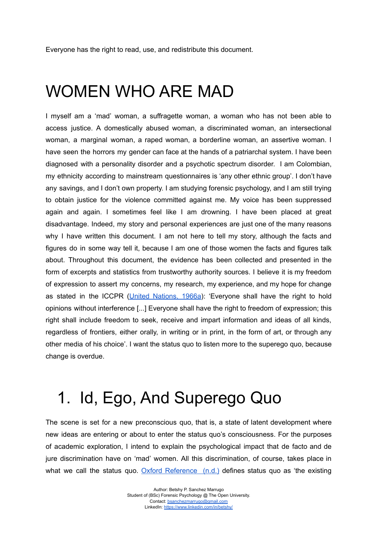Everyone has the right to read, use, and redistribute this document.

### WOMEN WHO ARE MAD

I myself am a 'mad' woman, a suffragette woman, a woman who has not been able to access justice. A domestically abused woman, a discriminated woman, an intersectional woman, a marginal woman, a raped woman, a borderline woman, an assertive woman. I have seen the horrors my gender can face at the hands of a patriarchal system. I have been diagnosed with a personality disorder and a psychotic spectrum disorder. I am Colombian, my ethnicity according to mainstream questionnaires is 'any other ethnic group'. I don't have any savings, and I don't own property. I am studying forensic psychology, and I am still trying to obtain justice for the violence committed against me. My voice has been suppressed again and again. I sometimes feel like I am drowning. I have been placed at great disadvantage. Indeed, my story and personal experiences are just one of the many reasons why I have written this document. I am not here to tell my story, although the facts and figures do in some way tell it, because I am one of those women the facts and figures talk about. Throughout this document, the evidence has been collected and presented in the form of excerpts and statistics from trustworthy authority sources. I believe it is my freedom of expression to assert my concerns, my research, my experience, and my hope for change as stated in the ICCPR (United [Nations,](https://www.ohchr.org/en/professionalinterest/pages/ccpr.aspx) 1966a): 'Everyone shall have the right to hold opinions without interference [...] Everyone shall have the right to freedom of expression; this right shall include freedom to seek, receive and impart information and ideas of all kinds, regardless of frontiers, either orally, in writing or in print, in the form of art, or through any other media of his choice'. I want the status quo to listen more to the superego quo, because change is overdue.

## 1. Id, Ego, And Superego Quo

The scene is set for a new preconscious quo, that is, a state of latent development where new ideas are entering or about to enter the status quo's consciousness. For the purposes of academic exploration, I intend to explain the psychological impact that de facto and de jure discrimination have on 'mad' women. All this discrimination, of course, takes place in what we call the status quo. Oxford [Reference](https://www.oxfordreference.com/view/10.1093/oi/authority.20110803100529551)  $(n.d.)$  defines status quo as 'the existing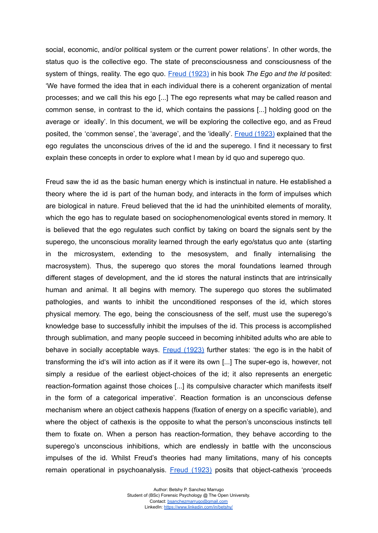social, economic, and/or political system or the current power relations'. In other words, the status quo is the collective ego. The state of preconsciousness and consciousness of the system of things, reality. The ego quo. Freud [\(1923\)](https://www.sigmundfreud.net/the-ego-and-the-id-pdf-ebook.jsp) in his book *The Ego and the Id* posited: 'We have formed the idea that in each individual there is a coherent organization of mental processes; and we call this his ego [...] The ego represents what may be called reason and common sense, in contrast to the id, which contains the passions [...] holding good on the average or ideally'. In this document, we will be exploring the collective ego, and as Freud posited, the 'common sense', the 'average', and the 'ideally'. Freud [\(1923\)](https://www.sigmundfreud.net/the-ego-and-the-id-pdf-ebook.jsp) explained that the ego regulates the unconscious drives of the id and the superego. I find it necessary to first explain these concepts in order to explore what I mean by id quo and superego quo.

Freud saw the id as the basic human energy which is instinctual in nature. He established a theory where the id is part of the human body, and interacts in the form of impulses which are biological in nature. Freud believed that the id had the uninhibited elements of morality, which the ego has to regulate based on sociophenomenological events stored in memory. It is believed that the ego regulates such conflict by taking on board the signals sent by the superego, the unconscious morality learned through the early ego/status quo ante (starting in the microsystem, extending to the mesosystem, and finally internalising the macrosystem). Thus, the superego quo stores the moral foundations learned through different stages of development, and the id stores the natural instincts that are intrinsically human and animal. It all begins with memory. The superego quo stores the sublimated pathologies, and wants to inhibit the unconditioned responses of the id, which stores physical memory. The ego, being the consciousness of the self, must use the superego's knowledge base to successfully inhibit the impulses of the id. This process is accomplished through sublimation, and many people succeed in becoming inhibited adults who are able to behave in socially acceptable ways. Freud [\(1923\)](https://www.sigmundfreud.net/the-ego-and-the-id-pdf-ebook.jsp) further states: 'the ego is in the habit of transforming the id's will into action as if it were its own [...] The super-ego is, however, not simply a residue of the earliest object-choices of the id; it also represents an energetic reaction-formation against those choices [...] its compulsive character which manifests itself in the form of a categorical imperative'. Reaction formation is an unconscious defense mechanism where an object cathexis happens (fixation of energy on a specific variable), and where the object of cathexis is the opposite to what the person's unconscious instincts tell them to fixate on. When a person has reaction-formation, they behave according to the superego's unconscious inhibitions, which are endlessly in battle with the unconscious impulses of the id. Whilst Freud's theories had many limitations, many of his concepts remain operational in psychoanalysis. Freud [\(1923\)](https://www.sigmundfreud.net/the-ego-and-the-id-pdf-ebook.jsp) posits that object-cathexis 'proceeds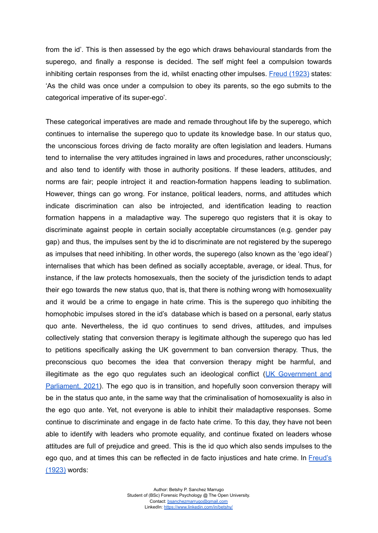from the id'. This is then assessed by the ego which draws behavioural standards from the superego, and finally a response is decided. The self might feel a compulsion towards inhibiting certain responses from the id, whilst enacting other impulses. Freud [\(1923\)](https://www.sigmundfreud.net/the-ego-and-the-id-pdf-ebook.jsp) states: 'As the child was once under a compulsion to obey its parents, so the ego submits to the categorical imperative of its super-ego'.

These categorical imperatives are made and remade throughout life by the superego, which continues to internalise the superego quo to update its knowledge base. In our status quo, the unconscious forces driving de facto morality are often legislation and leaders. Humans tend to internalise the very attitudes ingrained in laws and procedures, rather unconsciously; and also tend to identify with those in authority positions. If these leaders, attitudes, and norms are fair; people introject it and reaction-formation happens leading to sublimation. However, things can go wrong. For instance, political leaders, norms, and attitudes which indicate discrimination can also be introjected, and identification leading to reaction formation happens in a maladaptive way. The superego quo registers that it is okay to discriminate against people in certain socially acceptable circumstances (e.g. gender pay gap) and thus, the impulses sent by the id to discriminate are not registered by the superego as impulses that need inhibiting. In other words, the superego (also known as the 'ego ideal') internalises that which has been defined as socially acceptable, average, or ideal. Thus, for instance, if the law protects homosexuals, then the society of the jurisdiction tends to adapt their ego towards the new status quo, that is, that there is nothing wrong with homosexuality and it would be a crime to engage in hate crime. This is the superego quo inhibiting the homophobic impulses stored in the id's database which is based on a personal, early status quo ante. Nevertheless, the id quo continues to send drives, attitudes, and impulses collectively stating that conversion therapy is legitimate although the superego quo has led to petitions specifically asking the UK government to ban conversion therapy. Thus, the preconscious quo becomes the idea that conversion therapy might be harmful, and illegitimate as the ego quo regulates such an ideological conflict ( $UK$  [Government](https://petition.parliament.uk/petitions/300976) and [Parliament,](https://petition.parliament.uk/petitions/300976) 2021). The ego quo is in transition, and hopefully soon conversion therapy will be in the status quo ante, in the same way that the criminalisation of homosexuality is also in the ego quo ante. Yet, not everyone is able to inhibit their maladaptive responses. Some continue to discriminate and engage in de facto hate crime. To this day, they have not been able to identify with leaders who promote equality, and continue fixated on leaders whose attitudes are full of prejudice and greed. This is the id quo which also sends impulses to the ego quo, and at times this can be reflected in de facto injustices and hate crime. In [Freud's](https://www.sigmundfreud.net/the-ego-and-the-id-pdf-ebook.jsp) [\(1923\)](https://www.sigmundfreud.net/the-ego-and-the-id-pdf-ebook.jsp) words: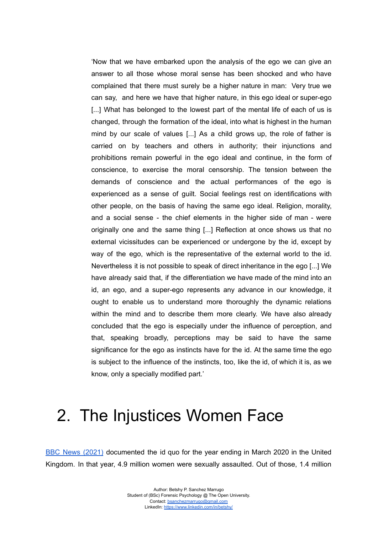'Now that we have embarked upon the analysis of the ego we can give an answer to all those whose moral sense has been shocked and who have complained that there must surely be a higher nature in man: Very true we can say, and here we have that higher nature, in this ego ideal or super-ego [...] What has belonged to the lowest part of the mental life of each of us is changed, through the formation of the ideal, into what is highest in the human mind by our scale of values [...] As a child grows up, the role of father is carried on by teachers and others in authority; their injunctions and prohibitions remain powerful in the ego ideal and continue, in the form of conscience, to exercise the moral censorship. The tension between the demands of conscience and the actual performances of the ego is experienced as a sense of guilt. Social feelings rest on identifications with other people, on the basis of having the same ego ideal. Religion, morality, and a social sense - the chief elements in the higher side of man - were originally one and the same thing [...] Reflection at once shows us that no external vicissitudes can be experienced or undergone by the id, except by way of the ego, which is the representative of the external world to the id. Nevertheless it is not possible to speak of direct inheritance in the ego [...] We have already said that, if the differentiation we have made of the mind into an id, an ego, and a super-ego represents any advance in our knowledge, it ought to enable us to understand more thoroughly the dynamic relations within the mind and to describe them more clearly. We have also already concluded that the ego is especially under the influence of perception, and that, speaking broadly, perceptions may be said to have the same significance for the ego as instincts have for the id. At the same time the ego is subject to the influence of the instincts, too, like the id, of which it is, as we know, only a specially modified part.'

### 2. The Injustices Women Face

BBC News [\(2021\)](https://www.bbc.co.uk/news/explainers-56365412) documented the id quo for the year ending in March 2020 in the United Kingdom. In that year, 4.9 million women were sexually assaulted. Out of those, 1.4 million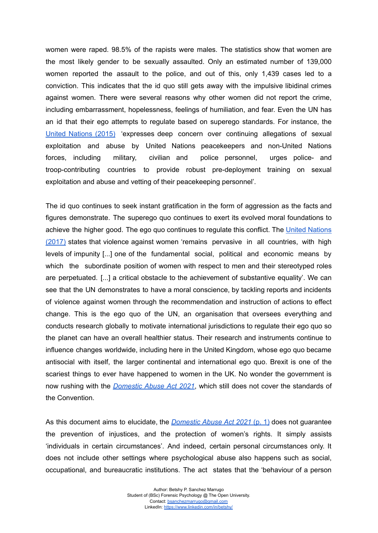women were raped. 98.5% of the rapists were males. The statistics show that women are the most likely gender to be sexually assaulted. Only an estimated number of 139,000 women reported the assault to the police, and out of this, only 1,439 cases led to a conviction. This indicates that the id quo still gets away with the impulsive libidinal crimes against women. There were several reasons why other women did not report the crime, including embarrassment, hopelessness, feelings of humiliation, and fear. Even the UN has an id that their ego attempts to regulate based on superego standards. For instance, the United [Nations](https://www.securitycouncilreport.org/atf/cf/%7B65BFCF9B-6D27-4E9C-8CD3-CF6E4FF96FF9%7D/s_res_2242.pdf) (2015) 'expresses deep concern over continuing allegations of sexual exploitation and abuse by United Nations peacekeepers and non-United Nations forces, including military, civilian and police personnel, urges police- and troop-contributing countries to provide robust pre-deployment training on sexual exploitation and abuse and vetting of their peacekeeping personnel'.

The id quo continues to seek instant gratification in the form of aggression as the facts and figures demonstrate. The superego quo continues to exert its evolved moral foundations to achieve the higher good. The ego quo continues to regulate this conflict. The United [Nations](https://tbinternet.ohchr.org/Treaties/CEDAW/Shared%20Documents/1_Global/CEDAW_C_GC_35_8267_E.pdf) [\(2017\)](https://tbinternet.ohchr.org/Treaties/CEDAW/Shared%20Documents/1_Global/CEDAW_C_GC_35_8267_E.pdf) states that violence against women 'remains pervasive in all countries, with high levels of impunity [...] one of the fundamental social, political and economic means by which the subordinate position of women with respect to men and their stereotyped roles are perpetuated. [...] a critical obstacle to the achievement of substantive equality'. We can see that the UN demonstrates to have a moral conscience, by tackling reports and incidents of violence against women through the recommendation and instruction of actions to effect change. This is the ego quo of the UN, an organisation that oversees everything and conducts research globally to motivate international jurisdictions to regulate their ego quo so the planet can have an overall healthier status. Their research and instruments continue to influence changes worldwide, including here in the United Kingdom, whose ego quo became antisocial with itself, the larger continental and international ego quo. Brexit is one of the scariest things to ever have happened to women in the UK. No wonder the government is now rushing with the *[Domestic](https://www.legislation.gov.uk/ukpga/2021/17/contents) Abuse Act 2021*, which still does not cover the standards of the Convention.

As this document aims to elucidate, the *[Domestic](https://www.legislation.gov.uk/ukpga/2021/17/contents) Abuse Act 2021* (p. 1) does not guarantee the prevention of injustices, and the protection of women's rights. It simply assists 'individuals in certain circumstances'. And indeed, certain personal circumstances only. It does not include other settings where psychological abuse also happens such as social, occupational, and bureaucratic institutions. The act states that the 'behaviour of a person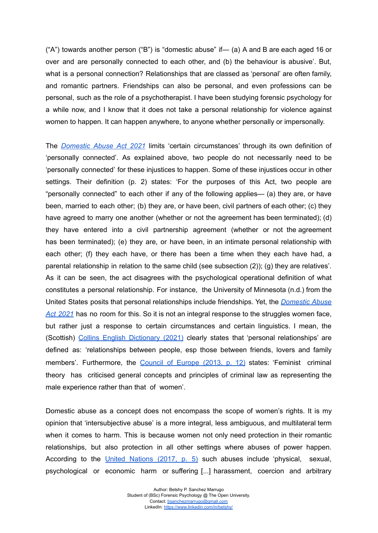$({}^{\circ}$ A") towards another person  $({}^{\circ}B$ ") is "domestic abuse" if— (a) A and B are each aged 16 or over and are personally connected to each other, and (b) the behaviour is abusive'. But, what is a personal connection? Relationships that are classed as 'personal' are often family, and romantic partners. Friendships can also be personal, and even professions can be personal, such as the role of a psychotherapist. I have been studying forensic psychology for a while now, and I know that it does not take a personal relationship for violence against women to happen. It can happen anywhere, to anyone whether personally or impersonally.

The *[Domestic](https://www.legislation.gov.uk/ukpga/2021/17/contents) Abuse Act 2021* limits 'certain circumstances' through its own definition of 'personally connected'. As explained above, two people do not necessarily need to be 'personally connected' for these injustices to happen. Some of these injustices occur in other settings. Their definition (p. 2) states: 'For the purposes of this Act, two people are "personally connected" to each other if any of the following applies— (a) they are, or have been, married to each other; (b) they are, or have been, civil partners of each other; (c) they have agreed to marry one another (whether or not the agreement has been terminated); (d) they have entered into a civil partnership agreement (whether or not the agreement has been terminated); (e) they are, or have been, in an intimate personal relationship with each other; (f) they each have, or there has been a time when they each have had, a parental relationship in relation to the same child (see subsection (2)); (g) they are relatives'. As it can be seen, the act disagrees with the psychological operational definition of what constitutes a personal relationship. For instance, the University of Minnesota (n.d.) from the United States posits that personal relationships include friendships. Yet, the *[Domestic](https://www.legislation.gov.uk/ukpga/2021/17/contents) Abuse Act [2021](https://www.legislation.gov.uk/ukpga/2021/17/contents)* has no room for this. So it is not an integral response to the struggles women face, but rather just a response to certain circumstances and certain linguistics. I mean, the (Scottish) Collins English [Dictionary](https://www.collinsdictionary.com/dictionary/english/personal-relationshipshttps://www.collinsdictionary.com/dictionary/english/personal-relationships) (2021) clearly states that 'personal relationships' are defined as: 'relationships between people, esp those between friends, lovers and family members'. Furthermore, the [Council](http://help.elearning.ext.coe.int/mod/resource/view.php?id=124789&redirect=1) of Europe (2013, p. 12) states: 'Feminist criminal theory has criticised general concepts and principles of criminal law as representing the male experience rather than that of women'.

Domestic abuse as a concept does not encompass the scope of women's rights. It is my opinion that 'intersubjective abuse' is a more integral, less ambiguous, and multilateral term when it comes to harm. This is because women not only need protection in their romantic relationships, but also protection in all other settings where abuses of power happen. According to the United [Nations](https://tbinternet.ohchr.org/Treaties/CEDAW/Shared%20Documents/1_Global/CEDAW_C_GC_35_8267_E.pdf) (2017, p. 5) such abuses include 'physical, sexual, psychological or economic harm or suffering [...] harassment, coercion and arbitrary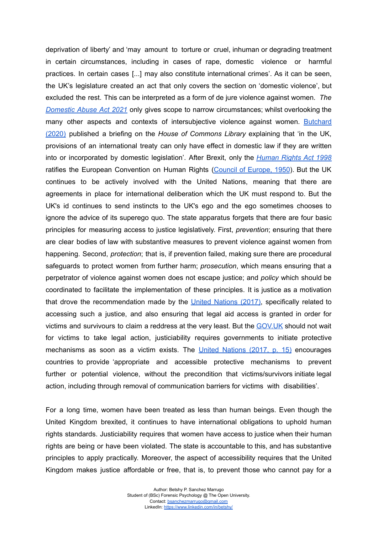deprivation of liberty' and 'may amount to torture or cruel, inhuman or degrading treatment in certain circumstances, including in cases of rape, domestic violence or harmful practices. In certain cases [...] may also constitute international crimes'. As it can be seen, the UK's legislature created an act that only covers the section on 'domestic violence', but excluded the rest. This can be interpreted as a form of de jure violence against women. *The [Domestic](https://www.legislation.gov.uk/ukpga/2021/17/contents) Abuse Act 2021* only gives scope to narrow circumstances; whilst overlooking the many other aspects and contexts of intersubjective violence against women. [Butchard](https://researchbriefings.files.parliament.uk/documents/CBP-9010/CBP-9010.pdf) [\(2020\)](https://researchbriefings.files.parliament.uk/documents/CBP-9010/CBP-9010.pdf) published a briefing on the *House of Commons Library* explaining that 'in the UK, provisions of an international treaty can only have effect in domestic law if they are written into or incorporated by domestic legislation'. After Brexit, only the *[Human](https://www.legislation.gov.uk/ukpga/1998/42/contents) Rights Act 1998* ratifies the European Convention on Human Rights (Council of [Europe,](https://www.echr.coe.int/documents/convention_eng.pdf) 1950). But the UK continues to be actively involved with the United Nations, meaning that there are agreements in place for international deliberation which the UK must respond to. But the UK's id continues to send instincts to the UK's ego and the ego sometimes chooses to ignore the advice of its superego quo. The state apparatus forgets that there are four basic principles for measuring access to justice legislatively. First, *prevention*; ensuring that there are clear bodies of law with substantive measures to prevent violence against women from happening. Second, *protection*; that is, if prevention failed, making sure there are procedural safeguards to protect women from further harm; *prosecution*, which means ensuring that a perpetrator of violence against women does not escape justice; and *policy* which should be coordinated to facilitate the implementation of these principles. It is justice as a motivation that drove the recommendation made by the United [Nations](https://tbinternet.ohchr.org/Treaties/CEDAW/Shared%20Documents/1_Global/CEDAW_C_GC_35_8267_E.pdf) (2017), specifically related to accessing such a justice, and also ensuring that legal aid access is granted in order for victims and survivours to claim a reddress at the very least. But the [GOV.UK](https://www.gov.uk/) should not wait for victims to take legal action, justiciability requires governments to initiate protective mechanisms as soon as a victim exists. The United [Nations](https://tbinternet.ohchr.org/Treaties/CEDAW/Shared%20Documents/1_Global/CEDAW_C_GC_35_8267_E.pdf) (2017, p. 15) encourages countries to provide 'appropriate and accessible protective mechanisms to prevent further or potential violence, without the precondition that victims/survivors initiate legal action, including through removal of communication barriers for victims with disabilities'.

For a long time, women have been treated as less than human beings. Even though the United Kingdom brexited, it continues to have international obligations to uphold human rights standards. Justiciability requires that women have access to justice when their human rights are being or have been violated. The state is accountable to this, and has substantive principles to apply practically. Moreover, the aspect of accessibility requires that the United Kingdom makes justice affordable or free, that is, to prevent those who cannot pay for a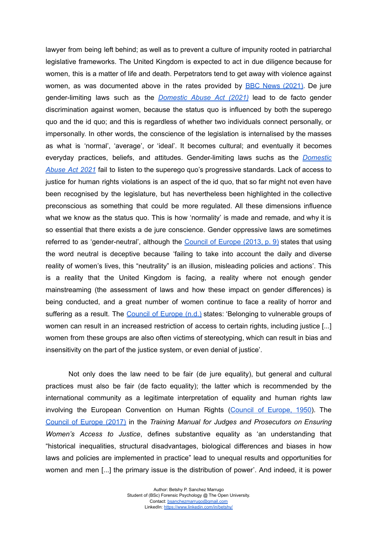lawyer from being left behind; as well as to prevent a culture of impunity rooted in patriarchal legislative frameworks. The United Kingdom is expected to act in due diligence because for women, this is a matter of life and death. Perpetrators tend to get away with violence against women, as was documented above in the rates provided by **BBC News [\(2021\)](https://www.bbc.co.uk/news/explainers-56365412)**. De jure gender-limiting laws such as the *[Domestic](https://www.legislation.gov.uk/ukpga/2021/17/contents) Abuse Act (2021)* lead to de facto gender discrimination against women, because the status quo is influenced by both the superego quo and the id quo; and this is regardless of whether two individuals connect personally, or impersonally. In other words, the conscience of the legislation is internalised by the masses as what is 'normal', 'average', or 'ideal'. It becomes cultural; and eventually it becomes everyday practices, beliefs, and attitudes. Gender-limiting laws suchs as the *[Domestic](https://www.legislation.gov.uk/ukpga/2021/17/contents) [Abuse](https://www.legislation.gov.uk/ukpga/2021/17/contents) Act 2021* fail to listen to the superego quo's progressive standards. Lack of access to justice for human rights violations is an aspect of the id quo, that so far might not even have been recognised by the legislature, but has nevertheless been highlighted in the collective preconscious as something that could be more regulated. All these dimensions influence what we know as the status quo. This is how 'normality' is made and remade, and why it is so essential that there exists a de jure conscience. Gender oppressive laws are sometimes referred to as 'gender-neutral', although the [Council](http://help.elearning.ext.coe.int/mod/resource/view.php?id=124789&redirect=1) of Europe (2013, p. 9) states that using the word neutral is deceptive because 'failing to take into account the daily and diverse reality of women's lives, this "neutrality" is an illusion, misleading policies and actions'. This is a reality that the United Kingdom is facing, a reality where not enough gender mainstreaming (the assessment of laws and how these impact on gender differences) is being conducted, and a great number of women continue to face a reality of horror and suffering as a result. The [Council](http://help.elearning.ext.coe.int/mod/resource/view.php?id=124793&redirect=1) of Europe (n.d.) states: 'Belonging to vulnerable groups of women can result in an increased restriction of access to certain rights, including justice [...] women from these groups are also often victims of stereotyping, which can result in bias and insensitivity on the part of the justice system, or even denial of justice'.

Not only does the law need to be fair (de jure equality), but general and cultural practices must also be fair (de facto equality); the latter which is recommended by the international community as a legitimate interpretation of equality and human rights law involving the European Convention on Human Rights (Council of [Europe,](https://www.echr.coe.int/documents/convention_eng.pdf) 1950). The [Council](https://rm.coe.int/training-manual-women-access-to-justice/16808d78c5) of Europe (2017) in the *Training Manual for Judges and Prosecutors on Ensuring Women's Access to Justice*, defines substantive equality as 'an understanding that "historical inequalities, structural disadvantages, biological differences and biases in how laws and policies are implemented in practice" lead to unequal results and opportunities for women and men [...] the primary issue is the distribution of power'. And indeed, it is power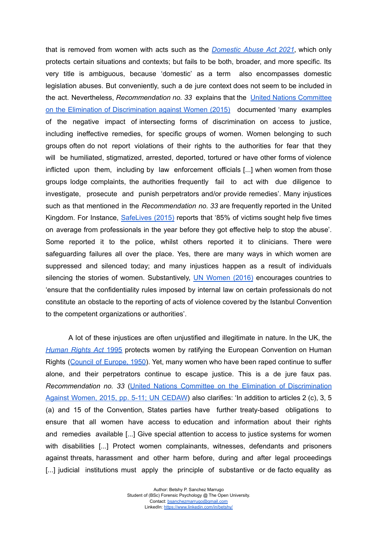that is removed from women with acts such as the *[Domestic](https://www.legislation.gov.uk/ukpga/2021/17/contents) Abuse Act 2021*, which only protects certain situations and contexts; but fails to be both, broader, and more specific. Its very title is ambiguous, because 'domestic' as a term also encompasses domestic legislation abuses. But conveniently, such a de jure context does not seem to be included in the act. Nevertheless, *Recommendation no. 33* explains that the United Nations [Committee](https://digitallibrary.un.org/record/807253?ln=en) on the Elimination of [Discrimination](https://digitallibrary.un.org/record/807253?ln=en) against Women (2015) documented 'many examples of the negative impact of intersecting forms of discrimination on access to justice, including ineffective remedies, for specific groups of women. Women belonging to such groups often do not report violations of their rights to the authorities for fear that they will be humiliated, stigmatized, arrested, deported, tortured or have other forms of violence inflicted upon them, including by law enforcement officials [...] when women from those groups lodge complaints, the authorities frequently fail to act with due diligence to investigate, prosecute and punish perpetrators and/or provide remedies'. Many injustices such as that mentioned in the *Recommendation no. 33* are frequently reported in the United Kingdom. For Instance, [SafeLives](https://safelives.org.uk/policy-evidence/getting-it-right-first-time) (2015) reports that '85% of victims sought help five times on average from professionals in the year before they got effective help to stop the abuse'. Some reported it to the police, whilst others reported it to clinicians. There were safeguarding failures all over the place. Yes, there are many ways in which women are suppressed and silenced today; and many injustices happen as a result of individuals silencing the stories of women. Substantively, UN [Women](http://help.elearning.ext.coe.int/mod/resource/view.php?id=124786&redirect=1) (2016) encourages countries to 'ensure that the confidentiality rules imposed by internal law on certain professionals do not constitute an obstacle to the reporting of acts of violence covered by the Istanbul Convention to the competent organizations or authorities'.

A lot of these injustices are often unjustified and illegitimate in nature. In the UK, the *[Human](https://www.legislation.gov.uk/ukpga/1998/42/contents) Rights Act* 1995 protects women by ratifying the European Convention on Human Rights (Council of [Europe,](https://www.echr.coe.int/documents/convention_eng.pdf) 1950). Yet, many women who have been raped continue to suffer alone, and their perpetrators continue to escape justice. This is a de jure faux pas. *Recommendation no. 33* (United Nations Committee on the Elimination of [Discrimination](https://digitallibrary.un.org/record/807253?ln=en) Against Women, 2015, pp. 5-11; UN [CEDAW\)](https://digitallibrary.un.org/record/807253?ln=en) also clarifies: 'In addition to articles 2 (c), 3, 5 (a) and 15 of the Convention, States parties have further treaty-based obligations to ensure that all women have access to education and information about their rights and remedies available [...] Give special attention to access to justice systems for women with disabilities [...] Protect women complainants, witnesses, defendants and prisoners against threats, harassment and other harm before, during and after legal proceedings [...] judicial institutions must apply the principle of substantive or de facto equality as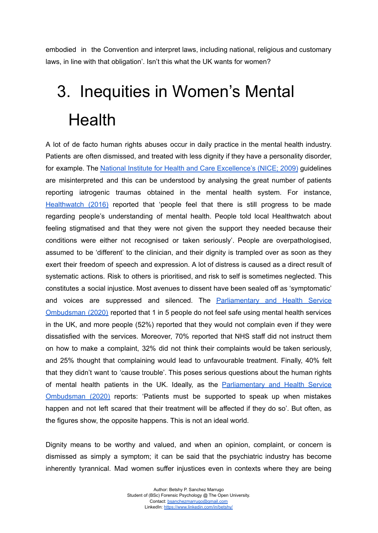embodied in the Convention and interpret laws, including national, religious and customary laws, in line with that obligation'. Isn't this what the UK wants for women?

# 3. Inequities in Women's Mental **Health**

A lot of de facto human rights abuses occur in daily practice in the mental health industry. Patients are often dismissed, and treated with less dignity if they have a personality disorder, for example. The National Institute for Health and Care [Excellence's](https://www.nice.org.uk/guidance/cg78/chapter/1-Guidance) (NICE; 2009) guidelines are misinterpreted and this can be understood by analysing the great number of patients reporting iatrogenic traumas obtained in the mental health system. For instance, [Healthwatch](https://www.healthwatch.co.uk/news/2016-02-12/what-people-think-mental-health-services) (2016) reported that 'people feel that there is still progress to be made regarding people's understanding of mental health. People told local Healthwatch about feeling stigmatised and that they were not given the support they needed because their conditions were either not recognised or taken seriously'. People are overpathologised, assumed to be 'different' to the clinician, and their dignity is trampled over as soon as they exert their freedom of speech and expression. A lot of distress is caused as a direct result of systematic actions. Risk to others is prioritised, and risk to self is sometimes neglected. This constitutes a social injustice. Most avenues to dissent have been sealed off as 'symptomatic' and voices are suppressed and silenced. The **[Parliamentary](https://www.ombudsman.org.uk/news-and-blog/news/1-5-mental-health-patients-dont-feel-safe-nhs-care-ombudsman-finds) and Health Service** [Ombudsman](https://www.ombudsman.org.uk/news-and-blog/news/1-5-mental-health-patients-dont-feel-safe-nhs-care-ombudsman-finds) (2020) reported that 1 in 5 people do not feel safe using mental health services in the UK, and more people (52%) reported that they would not complain even if they were dissatisfied with the services. Moreover, 70% reported that NHS staff did not instruct them on how to make a complaint, 32% did not think their complaints would be taken seriously, and 25% thought that complaining would lead to unfavourable treatment. Finally, 40% felt that they didn't want to 'cause trouble'. This poses serious questions about the human rights of mental health patients in the UK. Ideally, as the [Parliamentary](https://www.ombudsman.org.uk/news-and-blog/news/1-5-mental-health-patients-dont-feel-safe-nhs-care-ombudsman-finds) and Health Service [Ombudsman](https://www.ombudsman.org.uk/news-and-blog/news/1-5-mental-health-patients-dont-feel-safe-nhs-care-ombudsman-finds) (2020) reports: 'Patients must be supported to speak up when mistakes happen and not left scared that their treatment will be affected if they do so'. But often, as the figures show, the opposite happens. This is not an ideal world.

Dignity means to be worthy and valued, and when an opinion, complaint, or concern is dismissed as simply a symptom; it can be said that the psychiatric industry has become inherently tyrannical. Mad women suffer injustices even in contexts where they are being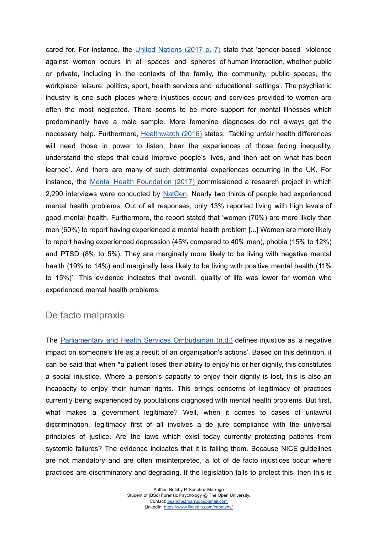cared for. For instance, the United [Nations](https://tbinternet.ohchr.org/Treaties/CEDAW/Shared%20Documents/1_Global/CEDAW_C_GC_35_8267_E.pdf) (2017 p. 7) state that 'gender-based violence against women occurs in all spaces and spheres of human interaction, whether public or private, including in the contexts of the family, the community, public spaces, the workplace, leisure, politics, sport, health services and educational settings'. The psychiatric industry is one such places where injustices occur; and services provided to women are often the most neglected. There seems to be more support for mental illnesses which predominantly have a male sample. More femenine diagnoses do not always get the necessary help. Furthermore, [Healthwatch](https://www.healthwatch.co.uk/news/2016-02-12/what-people-think-mental-health-services) (2016) states: 'Tackling unfair health differences will need those in power to listen, hear the experiences of those facing inequality, understand the steps that could improve people's lives, and then act on what has been learned'. And there are many of such detrimental experiences occurring in the UK. For instance, the Mental Health [Foundation](https://www.mentalhealth.org.uk/sites/default/files/surviving-or-thriving-state-uk-mental-health.pdf) (2017) commissioned a research project in which 2,290 interviews were conducted by [NatCen.](https://natcen.ac.uk/) Nearly two thirds of people had experienced mental health problems. Out of all responses, only 13% reported living with high levels of good mental health. Furthermore, the report stated that 'women (70%) are more likely than men (60%) to report having experienced a mental health problem [...] Women are more likely to report having experienced depression (45% compared to 40% men), phobia (15% to 12%) and PTSD (8% to 5%). They are marginally more likely to be living with negative mental health (19% to 14%) and marginally less likely to be living with positive mental health (11% to 15%)'. This evidence indicates that overall, quality of life was lower for women who experienced mental health problems.

#### De facto malpraxis

The [Parliamentary](https://www.ombudsman.org.uk/organisations-we-investigate/what-happens-if-someone-complains-about-your-organisation) and Health Services Ombudsman (n.d.) defines injustice as 'a negative impact on someone's life as a result of an organisation's actions'. Based on this definition, it can be said that when \*a patient loses their ability to enjoy his or her dignity, this constitutes a social injustice. Where a person's capacity to enjoy their dignity is lost, this is also an incapacity to enjoy their human rights. This brings concerns of legitimacy of practices currently being experienced by populations diagnosed with mental health problems. But first, what makes a government legitimate? Well, when it comes to cases of unlawful discrimination, legitimacy first of all involves a de jure compliance with the universal principles of justice. Are the laws which exist today currently protecting patients from systemic failures? The evidence indicates that it is failing them. Because NICE guidelines are not mandatory and are often misinterpreted, a lot of de facto injustices occur where practices are discriminatory and degrading. If the legislation fails to protect this, then this is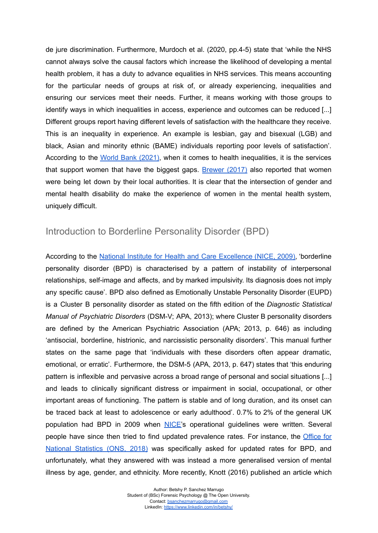de jure discrimination. Furthermore, Murdoch et al. (2020, pp.4-5) state that 'while the NHS cannot always solve the causal factors which increase the likelihood of developing a mental health problem, it has a duty to advance equalities in NHS services. This means accounting for the particular needs of groups at risk of, or already experiencing, inequalities and ensuring our services meet their needs. Further, it means working with those groups to identify ways in which inequalities in access, experience and outcomes can be reduced [...] Different groups report having different levels of satisfaction with the healthcare they receive. This is an inequality in experience. An example is lesbian, gay and bisexual (LGB) and black, Asian and minority ethnic (BAME) individuals reporting poor levels of satisfaction'. According to the World Bank [\(2021\)](https://olc.worldbank.org/content/attacking-inequalities-health-%E2%80%93-self-paced-training), when it comes to health inequalities, it is the services that support women that have the biggest gaps. [Brewer](https://www.theguardian.com/public-leaders-network/2017/sep/25/women-disadvantage-risk-local-council-support-services-) (2017) also reported that women were being let down by their local authorities. It is clear that the intersection of gender and mental health disability do make the experience of women in the mental health system, uniquely difficult.

#### Introduction to Borderline Personality Disorder (BPD)

According to the National Institute for Health and Care [Excellence](https://www.nice.org.uk/guidance/cg78/chapter/1-Guidance) (NICE, 2009), 'borderline personality disorder (BPD) is characterised by a pattern of instability of interpersonal relationships, self-image and affects, and by marked impulsivity. Its diagnosis does not imply any specific cause'. BPD also defined as Emotionally Unstable Personality Disorder (EUPD) is a Cluster B personality disorder as stated on the fifth edition of the *Diagnostic Statistical Manual of Psychiatric Disorders* (DSM-V; APA, 2013); where Cluster B personality disorders are defined by the American Psychiatric Association (APA; 2013, p. 646) as including 'antisocial, borderline, histrionic, and narcissistic personality disorders'. This manual further states on the same page that 'individuals with these disorders often appear dramatic, emotional, or erratic'. Furthermore, the DSM-5 (APA, 2013, p. 647) states that 'this enduring pattern is inflexible and pervasive across a broad range of personal and social situations [...] and leads to clinically significant distress or impairment in social, occupational, or other important areas of functioning. The pattern is stable and of long duration, and its onset can be traced back at least to adolescence or early adulthood'. 0.7% to 2% of the general UK population had BPD in 2009 when [NICE'](https://www.nice.org.uk/guidance/cg78/documents/personality-disorders-borderline-final-scope2#:~:text=The%20prevalence%20of%20BPD%20is,terms%20of%20its%20associated%20impairments.)s operational guidelines were written. Several people have since then tried to find updated prevalence rates. For instance, the [Office](https://www.ons.gov.uk/peoplepopulationandcommunity/healthandsocialcare/mentalhealth/adhocs/008200countsandpercentagesofadultswithamentalillnessbyoccupationagesexandethnicitybetweenmayandjuly2012to2017https://www.ons.gov.uk/peoplepopulationandcommunity/healthandsocialcare/mentalhealth/adhocs/008200countsandpercentagesofadultswithamentalillnessbyoccupationagesexandethnicitybetweenmayandjuly2012to2017) for National [Statistics](https://www.ons.gov.uk/peoplepopulationandcommunity/healthandsocialcare/mentalhealth/adhocs/008200countsandpercentagesofadultswithamentalillnessbyoccupationagesexandethnicitybetweenmayandjuly2012to2017https://www.ons.gov.uk/peoplepopulationandcommunity/healthandsocialcare/mentalhealth/adhocs/008200countsandpercentagesofadultswithamentalillnessbyoccupationagesexandethnicitybetweenmayandjuly2012to2017) (ONS, 2018) was specifically asked for updated rates for BPD, and unfortunately, what they answered with was instead a more generalised version of mental illness by age, gender, and ethnicity. More recently, Knott (2016) published an article which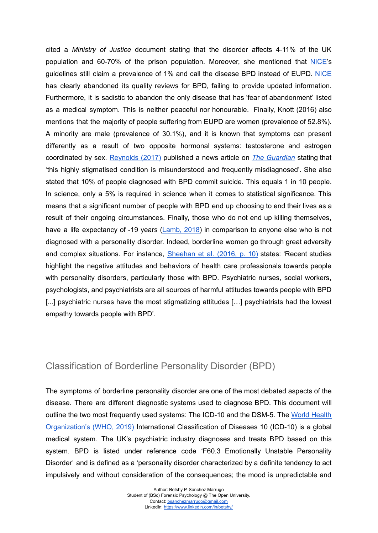cited a *Ministry of Justice* document stating that the disorder affects 4-11% of the UK population and 60-70% of the prison population. Moreover, she mentioned that [NICE'](https://www.nice.org.uk/guidance/cg78/documents/personality-disorders-borderline-final-scope2#:~:text=The%20prevalence%20of%20BPD%20is,terms%20of%20its%20associated%20impairments.)s guidelines still claim a prevalence of 1% and call the disease BPD instead of EUPD. [NICE](https://www.nice.org.uk/guidance/cg78/documents/personality-disorders-borderline-final-scope2#:~:text=The%20prevalence%20of%20BPD%20is,terms%20of%20its%20associated%20impairments.) has clearly abandoned its quality reviews for BPD, failing to provide updated information. Furthermore, it is sadistic to abandon the only disease that has 'fear of abandonment' listed as a medical symptom. This is neither peaceful nor honourable. Finally, Knott (2016) also mentions that the majority of people suffering from EUPD are women (prevalence of 52.8%). A minority are male (prevalence of 30.1%), and it is known that symptoms can present differently as a result of two opposite hormonal systems: testosterone and estrogen coordinated by sex. [Reynolds](https://www.theguardian.com/healthcare-network/2017/oct/27/borderline-personality-disorder-stigmatised-misunderstood-misdiagnosed) (2017) published a news article on *The [Guardian](https://www.theguardian.com/healthcare-network/2017/oct/27/borderline-personality-disorder-stigmatised-misunderstood-misdiagnosed)* stating that 'this highly stigmatised condition is misunderstood and frequently misdiagnosed'. She also stated that 10% of people diagnosed with BPD commit suicide. This equals 1 in 10 people. In science, only a 5% is required in science when it comes to statistical significance. This means that a significant number of people with BPD end up choosing to end their lives as a result of their ongoing circumstances. Finally, those who do not end up killing themselves, have a life expectancy of -19 years [\(Lamb,](https://www.mind.org.uk/media-a/4353/consensus-statement-final.pdf) 2018) in comparison to anyone else who is not diagnosed with a personality disorder. Indeed, borderline women go through great adversity and complex situations. For instance, [Sheehan](https://pmt-eu.hosted.exlibrisgroup.com/permalink/f/gvehrt/TN_springer_jour10.1007/s11920-015-0654-1) et al. (2016, p. 10) states: 'Recent studies highlight the negative attitudes and behaviors of health care professionals towards people with personality disorders, particularly those with BPD. Psychiatric nurses, social workers, psychologists, and psychiatrists are all sources of harmful attitudes towards people with BPD [...] psychiatric nurses have the most stigmatizing attitudes [...] psychiatrists had the lowest empathy towards people with BPD'.

#### Classification of Borderline Personality Disorder (BPD)

The symptoms of borderline personality disorder are one of the most debated aspects of the disease. There are different diagnostic systems used to diagnose BPD. This document will outline the two most frequently used systems: The ICD-10 and the DSM-5. The World [Health](https://icd.who.int/browse10/2019/en#/F60.3) [Organization's](https://icd.who.int/browse10/2019/en#/F60.3) (WHO, 2019) International Classification of Diseases 10 (ICD-10) is a global medical system. The UK's psychiatric industry diagnoses and treats BPD based on this system. BPD is listed under reference code 'F60.3 Emotionally Unstable Personality Disorder' and is defined as a 'personality disorder characterized by a definite tendency to act impulsively and without consideration of the consequences; the mood is unpredictable and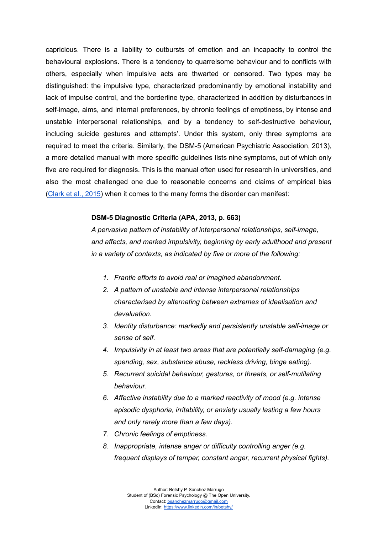capricious. There is a liability to outbursts of emotion and an incapacity to control the behavioural explosions. There is a tendency to quarrelsome behaviour and to conflicts with others, especially when impulsive acts are thwarted or censored. Two types may be distinguished: the impulsive type, characterized predominantly by emotional instability and lack of impulse control, and the borderline type, characterized in addition by disturbances in self-image, aims, and internal preferences, by chronic feelings of emptiness, by intense and unstable interpersonal relationships, and by a tendency to self-destructive behaviour, including suicide gestures and attempts'. Under this system, only three symptoms are required to meet the criteria. Similarly, the DSM-5 (American Psychiatric Association, 2013), a more detailed manual with more specific guidelines lists nine symptoms, out of which only five are required for diagnosis. This is the manual often used for research in universities, and also the most challenged one due to reasonable concerns and claims of empirical bias ([Clark](https://pmt-eu.hosted.exlibrisgroup.com/permalink/f/gvehrt/TN_cdi_pubmedcentral_primary_oai_pubmedcentral_nih_gov_4573819) et al., 2015) when it comes to the many forms the disorder can manifest:

#### **DSM-5 Diagnostic Criteria (APA, 2013, p. 663)**

*A pervasive pattern of instability of interpersonal relationships, self-image, and affects, and marked impulsivity, beginning by early adulthood and present in a variety of contexts, as indicated by five or more of the following:*

- *1. Frantic efforts to avoid real or imagined abandonment.*
- *2. A pattern of unstable and intense interpersonal relationships characterised by alternating between extremes of idealisation and devaluation.*
- *3. Identity disturbance: markedly and persistently unstable self-image or sense of self.*
- *4. Impulsivity in at least two areas that are potentially self-damaging (e.g. spending, sex, substance abuse, reckless driving, binge eating).*
- *5. Recurrent suicidal behaviour, gestures, or threats, or self-mutilating behaviour.*
- *6. Affective instability due to a marked reactivity of mood (e.g. intense episodic dysphoria, irritability, or anxiety usually lasting a few hours and only rarely more than a few days).*
- *7. Chronic feelings of emptiness.*
- *8. Inappropriate, intense anger or difficulty controlling anger (e.g. frequent displays of temper, constant anger, recurrent physical fights).*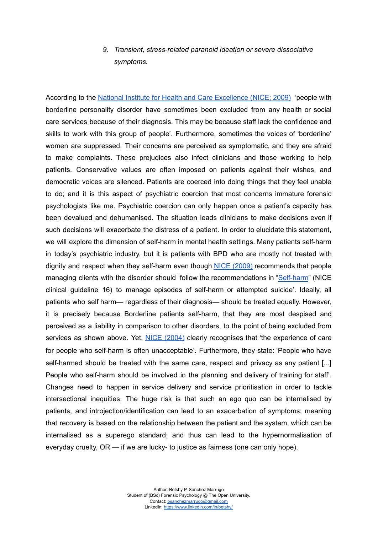#### *9. Transient, stress-related paranoid ideation or severe dissociative symptoms.*

According to the National Institute for Health and Care [Excellence](https://www.nice.org.uk/guidance/cg78/chapter/1-Guidance) (NICE; 2009) 'people with borderline personality disorder have sometimes been excluded from any health or social care services because of their diagnosis. This may be because staff lack the confidence and skills to work with this group of people'. Furthermore, sometimes the voices of 'borderline' women are suppressed. Their concerns are perceived as symptomatic, and they are afraid to make complaints. These prejudices also infect clinicians and those working to help patients. Conservative values are often imposed on patients against their wishes, and democratic voices are silenced. Patients are coerced into doing things that they feel unable to do; and it is this aspect of psychiatric coercion that most concerns immature forensic psychologists like me. Psychiatric coercion can only happen once a patient's capacity has been devalued and dehumanised. The situation leads clinicians to make decisions even if such decisions will exacerbate the distress of a patient. In order to elucidate this statement, we will explore the dimension of self-harm in mental health settings. Many patients self-harm in today's psychiatric industry, but it is patients with BPD who are mostly not treated with dignity and respect when they self-harm even though NICE [\(2009\)](https://www.nice.org.uk/guidance/cg78/chapter/1-Guidance) recommends that people managing clients with the disorder should 'follow the recommendations in "[Self-harm](https://www.nice.org.uk/guidance/cg16)" (NICE clinical guideline 16) to manage episodes of self-harm or attempted suicide'. Ideally, all patients who self harm— regardless of their diagnosis— should be treated equally. However, it is precisely because Borderline patients self-harm, that they are most despised and perceived as a liability in comparison to other disorders, to the point of being excluded from services as shown above. Yet, NICE [\(2004\)](https://www.nice.org.uk/guidance/cg16/chapter/1-Guidance) clearly recognises that 'the experience of care for people who self-harm is often unacceptable'. Furthermore, they state: 'People who have self-harmed should be treated with the same care, respect and privacy as any patient [...] People who self-harm should be involved in the planning and delivery of training for staff'. Changes need to happen in service delivery and service prioritisation in order to tackle intersectional inequities. The huge risk is that such an ego quo can be internalised by patients, and introjection/identification can lead to an exacerbation of symptoms; meaning that recovery is based on the relationship between the patient and the system, which can be internalised as a superego standard; and thus can lead to the hypernormalisation of everyday cruelty, OR — if we are lucky- to justice as fairness (one can only hope).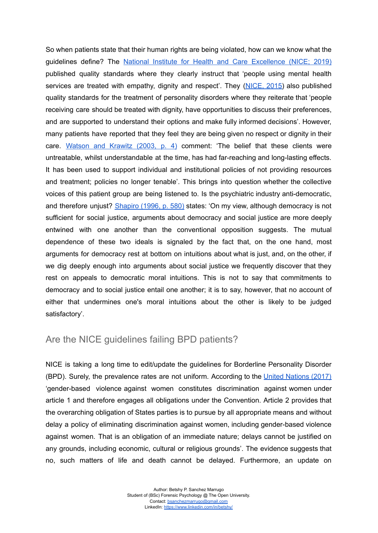So when patients state that their human rights are being violated, how can we know what the guidelines define? The National Institute for Health and Care [Excellence](https://www.nice.org.uk/guidance/qs14) (NICE; 2019) published quality standards where they clearly instruct that 'people using mental health services are treated with empathy, dignity and respect'. They [\(NICE,](https://www.nice.org.uk/guidance/qs88) 2015) also published quality standards for the treatment of personality disorders where they reiterate that 'people receiving care should be treated with dignity, have opportunities to discuss their preferences, and are supported to understand their options and make fully informed decisions'. However, many patients have reported that they feel they are being given no respect or dignity in their care. [Watson](https://www.amazon.co.uk/Borderline-Personality-Disorder-Practical-Treatment/dp/0198520670) and Krawitz (2003, p. 4) comment: 'The belief that these clients were untreatable, whilst understandable at the time, has had far-reaching and long-lasting effects. It has been used to support individual and institutional policies of not providing resources and treatment; policies no longer tenable'. This brings into question whether the collective voices of this patient group are being listened to. Is the psychiatric industry anti-democratic, and therefore unjust? [Shapiro](https://www.jstor.org/stable/192017) (1996, p. 580) states: 'On my view, although democracy is not sufficient for social justice, arguments about democracy and social justice are more deeply entwined with one another than the conventional opposition suggests. The mutual dependence of these two ideals is signaled by the fact that, on the one hand, most arguments for democracy rest at bottom on intuitions about what is just, and, on the other, if we dig deeply enough into arguments about social justice we frequently discover that they rest on appeals to democratic moral intuitions. This is not to say that commitments to democracy and to social justice entail one another; it is to say, however, that no account of either that undermines one's moral intuitions about the other is likely to be judged satisfactory'.

#### Are the NICE guidelines failing BPD patients?

NICE is taking a long time to edit/update the guidelines for Borderline Personality Disorder (BPD). Surely, the prevalence rates are not uniform. According to the United [Nations](https://tbinternet.ohchr.org/Treaties/CEDAW/Shared%20Documents/1_Global/CEDAW_C_GC_35_8267_E.pdf) (2017) 'gender-based violence against women constitutes discrimination against women under article 1 and therefore engages all obligations under the Convention. Article 2 provides that the overarching obligation of States parties is to pursue by all appropriate means and without delay a policy of eliminating discrimination against women, including gender-based violence against women. That is an obligation of an immediate nature; delays cannot be justified on any grounds, including economic, cultural or religious grounds'. The evidence suggests that no, such matters of life and death cannot be delayed. Furthermore, an update on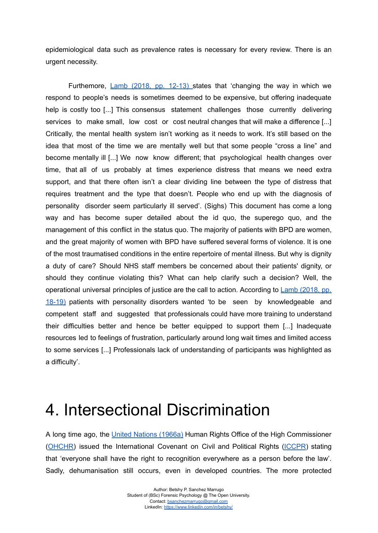epidemiological data such as prevalence rates is necessary for every review. There is an urgent necessity.

Furthemore, *Lamb (2018, pp. [12-13\)](https://www.mind.org.uk/media-a/4353/consensus-statement-final.pdf)* states that 'changing the way in which we respond to people's needs is sometimes deemed to be expensive, but offering inadequate help is costly too [...] This consensus statement challenges those currently delivering services to make small, low cost or cost neutral changes that will make a difference [...] Critically, the mental health system isn't working as it needs to work. It's still based on the idea that most of the time we are mentally well but that some people "cross a line" and become mentally ill [...] We now know different; that psychological health changes over time, that all of us probably at times experience distress that means we need extra support, and that there often isn't a clear dividing line between the type of distress that requires treatment and the type that doesn't. People who end up with the diagnosis of personality disorder seem particularly ill served'. (Sighs) This document has come a long way and has become super detailed about the id quo, the superego quo, and the management of this conflict in the status quo. The majority of patients with BPD are women, and the great majority of women with BPD have suffered several forms of violence. It is one of the most traumatised conditions in the entire repertoire of mental illness. But why is dignity a duty of care? Should NHS staff members be concerned about their patients' dignity, or should they continue violating this? What can help clarify such a decision? Well, the operational universal principles of justice are the call to action. According to Lamb [\(2018,](https://www.mind.org.uk/media-a/4353/consensus-statement-final.pdf) pp. [18-19\)](https://www.mind.org.uk/media-a/4353/consensus-statement-final.pdf) patients with personality disorders wanted 'to be seen by knowledgeable and competent staff and suggested that professionals could have more training to understand their difficulties better and hence be better equipped to support them [...] Inadequate resources led to feelings of frustration, particularly around long wait times and limited access to some services [...] Professionals lack of understanding of participants was highlighted as a difficulty'.

### 4. Intersectional Discrimination

A long time ago, the United Nations [\(1966a\)](https://www.ohchr.org/en/professionalinterest/pages/ccpr.aspx) Human Rights Office of the High Commissioner ([OHCHR\)](https://www.ohchr.org/en/professionalinterest/pages/ccpr.aspx) issued the International Covenant on Civil and Political Rights [\(ICCPR](https://www.ohchr.org/en/professionalinterest/pages/ccpr.aspx)) stating that 'everyone shall have the right to recognition everywhere as a person before the law'. Sadly, dehumanisation still occurs, even in developed countries. The more protected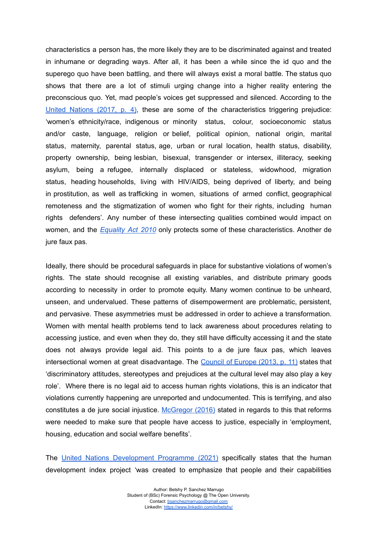characteristics a person has, the more likely they are to be discriminated against and treated in inhumane or degrading ways. After all, it has been a while since the id quo and the superego quo have been battling, and there will always exist a moral battle. The status quo shows that there are a lot of stimuli urging change into a higher reality entering the preconscious quo. Yet, mad people's voices get suppressed and silenced. According to the United [Nations](https://tbinternet.ohchr.org/Treaties/CEDAW/Shared%20Documents/1_Global/CEDAW_C_GC_35_8267_E.pdf) (2017, p. 4), these are some of the characteristics triggering prejudice: 'women's ethnicity/race, indigenous or minority status, colour, socioeconomic status and/or caste, language, religion or belief, political opinion, national origin, marital status, maternity, parental status, age, urban or rural location, health status, disability, property ownership, being lesbian, bisexual, transgender or intersex, illiteracy, seeking asylum, being a refugee, internally displaced or stateless, widowhood, migration status, heading households, living with HIV/AIDS, being deprived of liberty, and being in prostitution, as well as trafficking in women, situations of armed conflict, geographical remoteness and the stigmatization of women who fight for their rights, including human rights defenders'. Any number of these intersecting qualities combined would impact on women, and the *[Equality](https://www.legislation.gov.uk/ukpga/2010/15/contents) Act 2010* only protects some of these characteristics. Another de jure faux pas.

Ideally, there should be procedural safeguards in place for substantive violations of women's rights. The state should recognise all existing variables, and distribute primary goods according to necessity in order to promote equity. Many women continue to be unheard, unseen, and undervalued. These patterns of disempowerment are problematic, persistent, and pervasive. These asymmetries must be addressed in order to achieve a transformation. Women with mental health problems tend to lack awareness about procedures relating to accessing justice, and even when they do, they still have difficulty accessing it and the state does not always provide legal aid. This points to a de jure faux pas, which leaves intersectional women at great disadvantage. The [Council](http://help.elearning.ext.coe.int/mod/resource/view.php?id=124789&redirect=1) of Europe (2013, p. 11) states that 'discriminatory attitudes, stereotypes and prejudices at the cultural level may also play a key role'. Where there is no legal aid to access human rights violations, this is an indicator that violations currently happening are unreported and undocumented. This is terrifying, and also constitutes a de jure social injustice. [McGregor](https://www.equalityhumanrights.com/en/our-work/blogs/right-live-dignity) (2016) stated in regards to this that reforms were needed to make sure that people have access to justice, especially in 'employment, housing, education and social welfare benefits'.

The United Nations [Development](http://hdr.undp.org/en/content/human-development-index-hdi) Programme (2021) specifically states that the human development index project 'was created to emphasize that people and their capabilities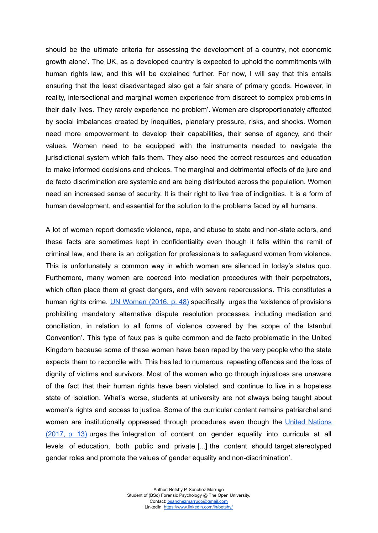should be the ultimate criteria for assessing the development of a country, not economic growth alone'. The UK, as a developed country is expected to uphold the commitments with human rights law, and this will be explained further. For now, I will say that this entails ensuring that the least disadvantaged also get a fair share of primary goods. However, in reality, intersectional and marginal women experience from discreet to complex problems in their daily lives. They rarely experience 'no problem'. Women are disproportionately affected by social imbalances created by inequities, planetary pressure, risks, and shocks. Women need more empowerment to develop their capabilities, their sense of agency, and their values. Women need to be equipped with the instruments needed to navigate the jurisdictional system which fails them. They also need the correct resources and education to make informed decisions and choices. The marginal and detrimental effects of de jure and de facto discrimination are systemic and are being distributed across the population. Women need an increased sense of security. It is their right to live free of indignities. It is a form of human development, and essential for the solution to the problems faced by all humans.

A lot of women report domestic violence, rape, and abuse to state and non-state actors, and these facts are sometimes kept in confidentiality even though it falls within the remit of criminal law, and there is an obligation for professionals to safeguard women from violence. This is unfortunately a common way in which women are silenced in today's status quo. Furthemore, many women are coerced into mediation procedures with their perpetrators, which often place them at great dangers, and with severe repercussions. This constitutes a human rights crime. UN [Women](http://help.elearning.ext.coe.int/mod/resource/view.php?id=124786&redirect=1) (2016, p. 48) specifically urges the 'existence of provisions prohibiting mandatory alternative dispute resolution processes, including mediation and conciliation, in relation to all forms of violence covered by the scope of the Istanbul Convention'. This type of faux pas is quite common and de facto problematic in the United Kingdom because some of these women have been raped by the very people who the state expects them to reconcile with. This has led to numerous repeating offences and the loss of dignity of victims and survivors. Most of the women who go through injustices are unaware of the fact that their human rights have been violated, and continue to live in a hopeless state of isolation. What's worse, students at university are not always being taught about women's rights and access to justice. Some of the curricular content remains patriarchal and women are institutionally oppressed through procedures even though the United [Nations](https://tbinternet.ohchr.org/Treaties/CEDAW/Shared%20Documents/1_Global/CEDAW_C_GC_35_8267_E.pdf) [\(2017,](https://tbinternet.ohchr.org/Treaties/CEDAW/Shared%20Documents/1_Global/CEDAW_C_GC_35_8267_E.pdf) p. 13) urges the 'integration of content on gender equality into curricula at all levels of education, both public and private [...] the content should target stereotyped gender roles and promote the values of gender equality and non-discrimination'.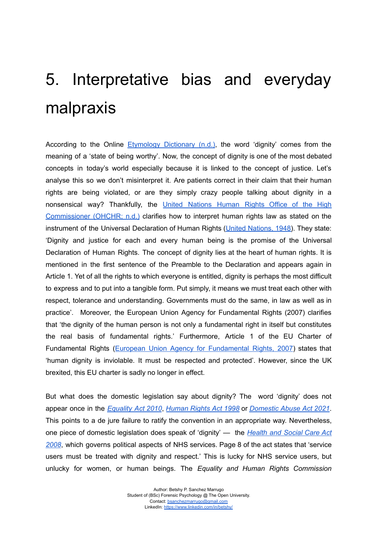# 5. Interpretative bias and everyday malpraxis

According to the Online [Etymology](https://www.etymonline.com/word/dignity) Dictionary (n.d.), the word 'dignity' comes from the meaning of a 'state of being worthy'. Now, the concept of dignity is one of the most debated concepts in today's world especially because it is linked to the concept of justice. Let's analyse this so we don't misinterpret it. Are patients correct in their claim that their human rights are being violated, or are they simply crazy people talking about dignity in a nonsensical way? Thankfully, the United [Nations](https://www.ohchr.org/en/udhr/pages/crosscuttingthemes.aspx) Human Rights Office of the High [Commissioner](https://www.ohchr.org/en/udhr/pages/crosscuttingthemes.aspx) (OHCHR; n.d.) clarifies how to interpret human rights law as stated on the instrument of the Universal Declaration of Human Rights (United [Nations,](https://www.un.org/en/about-us/universal-declaration-of-human-rights) 1948). They state: 'Dignity and justice for each and every human being is the promise of the Universal Declaration of Human Rights. The concept of dignity lies at the heart of human rights. It is mentioned in the first sentence of the Preamble to the Declaration and appears again in Article 1. Yet of all the rights to which everyone is entitled, dignity is perhaps the most difficult to express and to put into a tangible form. Put simply, it means we must treat each other with respect, tolerance and understanding. Governments must do the same, in law as well as in practice'. Moreover, the European Union Agency for Fundamental Rights (2007) clarifies that 'the dignity of the human person is not only a fundamental right in itself but constitutes the real basis of fundamental rights.' Furthermore, Article 1 of the EU Charter of [Fundamental](https://fra.europa.eu/en/eu-charter/article/1-human-dignity) Rights (European Union Agency for Fundamental Rights, 2007) states that 'human dignity is inviolable. It must be respected and protected'. However, since the UK brexited, this EU charter is sadly no longer in effect.

But what does the domestic legislation say about dignity? The word 'dignity' does not appear once in the *[Equality](https://www.legislation.gov.uk/ukpga/2010/15/contents) Act 2010*, *[Human](https://www.legislation.gov.uk/ukpga/1998/42/contents) Rights Act 1998* or *[Domestic](https://www.legislation.gov.uk/ukpga/2021/17/contents) Abuse Act 2021*. This points to a de jure failure to ratify the convention in an appropriate way. Nevertheless, one piece of domestic legislation does speak of 'dignity' — the *[Health](https://www.legislation.gov.uk/ukdsi/2014/9780111117613/regulation/10) and Social Care Act [2008](https://www.legislation.gov.uk/ukdsi/2014/9780111117613/regulation/10)*, which governs political aspects of NHS services. Page 8 of the act states that 'service users must be treated with dignity and respect.' This is lucky for NHS service users, but unlucky for women, or human beings. The *Equality and Human Rights Commission*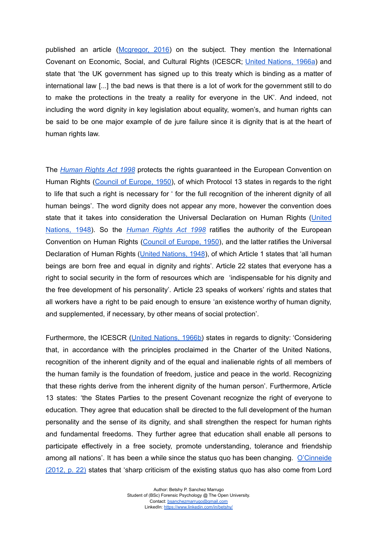published an article ([Mcgregor,](https://www.equalityhumanrights.com/en/our-work/blogs/right-live-dignity) 2016) on the subject. They mention the International Covenant on Economic, Social, and Cultural Rights (ICESCR; United [Nations,](https://www.ohchr.org/en/professionalinterest/pages/ccpr.aspx) 1966a) and state that 'the UK government has signed up to this treaty which is binding as a matter of international law [...] the bad news is that there is a lot of work for the government still to do to make the protections in the treaty a reality for everyone in the UK'. And indeed, not including the word dignity in key legislation about equality, women's, and human rights can be said to be one major example of de jure failure since it is dignity that is at the heart of human rights law.

The *[Human](https://www.legislation.gov.uk/ukpga/1998/42/contents) Rights Act 1998* protects the rights guaranteed in the European Convention on Human Rights (Council of [Europe,](https://www.echr.coe.int/documents/convention_eng.pdf) 1950), of which Protocol 13 states in regards to the right to life that such a right is necessary for ' for the full recognition of the inherent dignity of all human beings'. The word dignity does not appear any more, however the convention does state that it takes into consideration the Universal Declaration on Human Rights [\(United](https://www.un.org/en/about-us/universal-declaration-of-human-rights) [Nations,](https://www.un.org/en/about-us/universal-declaration-of-human-rights) 1948). So the *[Human](https://www.legislation.gov.uk/ukpga/1998/42/contents) Rights Act 1998* ratifies the authority of the European Convention on Human Rights (Council of [Europe,](https://www.echr.coe.int/documents/convention_eng.pdf) 1950), and the latter ratifies the Universal Declaration of Human Rights (United [Nations,](https://www.un.org/en/about-us/universal-declaration-of-human-rights) 1948), of which Article 1 states that 'all human beings are born free and equal in dignity and rights'. Article 22 states that everyone has a right to social security in the form of resources which are 'indispensable for his dignity and the free development of his personality'. Article 23 speaks of workers' rights and states that all workers have a right to be paid enough to ensure 'an existence worthy of human dignity, and supplemented, if necessary, by other means of social protection'.

Furthermore, the ICESCR (United [Nations,](https://www.ohchr.org/en/professionalinterest/pages/cescr.aspx) 1966b) states in regards to dignity: 'Considering that, in accordance with the principles proclaimed in the Charter of the United Nations, recognition of the inherent dignity and of the equal and inalienable rights of all members of the human family is the foundation of freedom, justice and peace in the world. Recognizing that these rights derive from the inherent dignity of the human person'. Furthermore, Article 13 states: 'the States Parties to the present Covenant recognize the right of everyone to education. They agree that education shall be directed to the full development of the human personality and the sense of its dignity, and shall strengthen the respect for human rights and fundamental freedoms. They further agree that education shall enable all persons to participate effectively in a free society, promote understanding, tolerance and friendship among all nations'. It has been a while since the status quo has been changing. [O'Cinneide](https://www.thebritishacademy.ac.uk/documents/262/Human-rights-and-the-UK-constitution.pdf) [\(2012,](https://www.thebritishacademy.ac.uk/documents/262/Human-rights-and-the-UK-constitution.pdf) p. 22) states that 'sharp criticism of the existing status quo has also come from Lord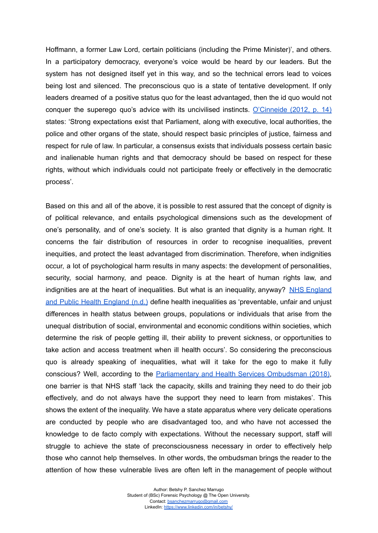Hoffmann, a former Law Lord, certain politicians (including the Prime Minister)', and others. In a participatory democracy, everyone's voice would be heard by our leaders. But the system has not designed itself yet in this way, and so the technical errors lead to voices being lost and silenced. The preconscious quo is a state of tentative development. If only leaders dreamed of a positive status quo for the least advantaged, then the id quo would not conquer the superego quo's advice with its uncivilised instincts. [O'Cinneide](https://www.thebritishacademy.ac.uk/documents/262/Human-rights-and-the-UK-constitution.pdf) (2012, p. 14) states: 'Strong expectations exist that Parliament, along with executive, local authorities, the police and other organs of the state, should respect basic principles of justice, fairness and respect for rule of law. In particular, a consensus exists that individuals possess certain basic and inalienable human rights and that democracy should be based on respect for these rights, without which individuals could not participate freely or effectively in the democratic process'.

Based on this and all of the above, it is possible to rest assured that the concept of dignity is of political relevance, and entails psychological dimensions such as the development of one's personality, and of one's society. It is also granted that dignity is a human right. It concerns the fair distribution of resources in order to recognise inequalities, prevent inequities, and protect the least advantaged from discrimination. Therefore, when indignities occur, a lot of psychological harm results in many aspects: the development of personalities, security, social harmony, and peace. Dignity is at the heart of human rights law, and indignities are at the heart of inequalities. But what is an inequality, anyway? NHS [England](https://www.england.nhs.uk/about/equality/equality-hub/resources/) and Public Health [England](https://www.england.nhs.uk/about/equality/equality-hub/resources/) (n.d.) define health inequalities as 'preventable, unfair and unjust differences in health status between groups, populations or individuals that arise from the unequal distribution of social, environmental and economic conditions within societies, which determine the risk of people getting ill, their ability to prevent sickness, or opportunities to take action and access treatment when ill health occurs'. So considering the preconscious quo is already speaking of inequalities, what will it take for the ego to make it fully conscious? Well, according to the [Parliamentary](https://www.ombudsman.org.uk/news-and-blog/news/nhs-failing-patients-mental-health-problems#:~:text=Vulnerable%20patients%20with%20mental%20health,Service%20Ombudsman%20report%20published%20today) and Health Services Ombudsman (2018), one barrier is that NHS staff 'lack the capacity, skills and training they need to do their job effectively, and do not always have the support they need to learn from mistakes'. This shows the extent of the inequality. We have a state apparatus where very delicate operations are conducted by people who are disadvantaged too, and who have not accessed the knowledge to de facto comply with expectations. Without the necessary support, staff will struggle to achieve the state of preconsciousness necessary in order to effectively help those who cannot help themselves. In other words, the ombudsman brings the reader to the attention of how these vulnerable lives are often left in the management of people without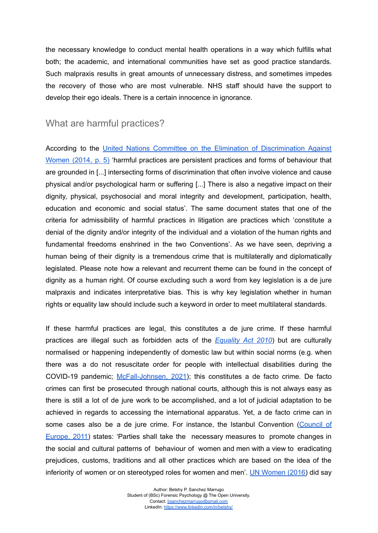the necessary knowledge to conduct mental health operations in a way which fulfills what both; the academic, and international communities have set as good practice standards. Such malpraxis results in great amounts of unnecessary distress, and sometimes impedes the recovery of those who are most vulnerable. NHS staff should have the support to develop their ego ideals. There is a certain innocence in ignorance.

#### What are harmful practices?

According to the United Nations Committee on the Elimination of [Discrimination](https://tbinternet.ohchr.org/_layouts/15/treatybodyexternal/Download.aspx?symbolno=CEDAW%2fC%2fGC%2f31%2fCRC%2fC%2fGC%2f18&Lang=en) Against [Women](https://tbinternet.ohchr.org/_layouts/15/treatybodyexternal/Download.aspx?symbolno=CEDAW%2fC%2fGC%2f31%2fCRC%2fC%2fGC%2f18&Lang=en) (2014, p. 5) 'harmful practices are persistent practices and forms of behaviour that are grounded in [...] intersecting forms of discrimination that often involve violence and cause physical and/or psychological harm or suffering [...] There is also a negative impact on their dignity, physical, psychosocial and moral integrity and development, participation, health, education and economic and social status'. The same document states that one of the criteria for admissibility of harmful practices in litigation are practices which 'constitute a denial of the dignity and/or integrity of the individual and a violation of the human rights and fundamental freedoms enshrined in the two Conventions'. As we have seen, depriving a human being of their dignity is a tremendous crime that is multilaterally and diplomatically legislated. Please note how a relevant and recurrent theme can be found in the concept of dignity as a human right. Of course excluding such a word from key legislation is a de jure malpraxis and indicates interpretative bias. This is why key legislation whether in human rights or equality law should include such a keyword in order to meet multilateral standards.

If these harmful practices are legal, this constitutes a de jure crime. If these harmful practices are illegal such as forbidden acts of the *[Equality](https://www.legislation.gov.uk/ukpga/2010/15/contents) Act 2010*) but are culturally normalised or happening independently of domestic law but within social norms (e.g. when there was a do not resuscitate order for people with intellectual disabilities during the COVID-19 pandemic; [McFall-Johnsen,](https://www.businessinsider.com/uk-learning-disabilities-inappropriate-do-not-resuscitate-orders-2021-2?r=US&IR=T) 2021); this constitutes a de facto crime. De facto crimes can first be prosecuted through national courts, although this is not always easy as there is still a lot of de jure work to be accomplished, and a lot of judicial adaptation to be achieved in regards to accessing the international apparatus. Yet, a de facto crime can in some cases also be a de jure crime. For instance, the Istanbul Convention [\(Council](https://www.coe.int/en/web/conventions/full-list?module=treaty-detail&treatynum=210) of [Europe,](https://www.coe.int/en/web/conventions/full-list?module=treaty-detail&treatynum=210) 2011) states: 'Parties shall take the necessary measures to promote changes in the social and cultural patterns of behaviour of women and men with a view to eradicating prejudices, customs, traditions and all other practices which are based on the idea of the inferiority of women or on stereotyped roles for women and men'. UN [Women](http://help.elearning.ext.coe.int/mod/resource/view.php?id=124786&redirect=1) (2016) did say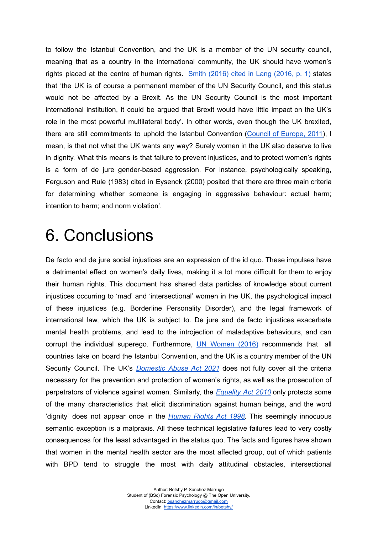to follow the Istanbul Convention, and the UK is a member of the UN security council, meaning that as a country in the international community, the UK should have women's rights placed at the centre of human rights. Smith [\(2016\)](https://researchbriefings.files.parliament.uk/documents/CBP-7597/CBP-7597.pdf) cited in Lang (2016, p. 1) states that 'the UK is of course a permanent member of the UN Security Council, and this status would not be affected by a Brexit. As the UN Security Council is the most important international institution, it could be argued that Brexit would have little impact on the UK's role in the most powerful multilateral body'. In other words, even though the UK brexited, there are still commitments to uphold the Istanbul Convention (Council of [Europe,](https://www.coe.int/en/web/conventions/full-list?module=treaty-detail&treatynum=210) 2011), I mean, is that not what the UK wants any way? Surely women in the UK also deserve to live in dignity. What this means is that failure to prevent injustices, and to protect women's rights is a form of de jure gender-based aggression. For instance, psychologically speaking, Ferguson and Rule (1983) cited in Eysenck (2000) posited that there are three main criteria for determining whether someone is engaging in aggressive behaviour: actual harm; intention to harm; and norm violation'.

### 6. Conclusions

De facto and de jure social injustices are an expression of the id quo. These impulses have a detrimental effect on women's daily lives, making it a lot more difficult for them to enjoy their human rights. This document has shared data particles of knowledge about current injustices occurring to 'mad' and 'intersectional' women in the UK, the psychological impact of these injustices (e.g. Borderline Personality Disorder), and the legal framework of international law, which the UK is subject to. De jure and de facto injustices exacerbate mental health problems, and lead to the introjection of maladaptive behaviours, and can corrupt the individual superego. Furthermore, UN [Women](http://help.elearning.ext.coe.int/mod/resource/view.php?id=124786&redirect=1) (2016) recommends that all countries take on board the Istanbul Convention, and the UK is a country member of the UN Security Council. The UK's *[Domestic](https://www.legislation.gov.uk/ukpga/2021/17/contents) Abuse Act 2021* does not fully cover all the criteria necessary for the prevention and protection of women's rights, as well as the prosecution of perpetrators of violence against women. Similarly, the *[Equality](https://www.legislation.gov.uk/ukpga/2010/15/contents) Act 2010* only protects some of the many characteristics that elicit discrimination against human beings, and the word 'dignity' does not appear once in the *[Human](https://www.legislation.gov.uk/ukpga/1998/42/contents) Rights Act 1998*. This seemingly innocuous semantic exception is a malpraxis. All these technical legislative failures lead to very costly consequences for the least advantaged in the status quo. The facts and figures have shown that women in the mental health sector are the most affected group, out of which patients with BPD tend to struggle the most with daily attitudinal obstacles, intersectional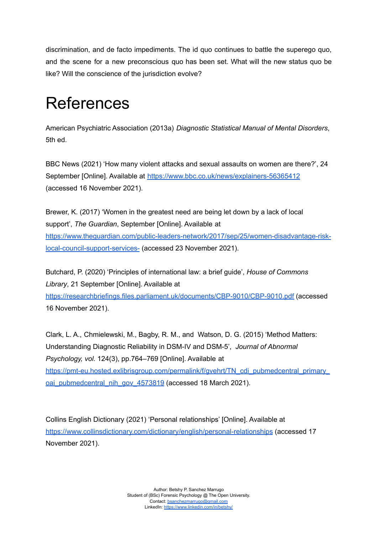discrimination, and de facto impediments. The id quo continues to battle the superego quo, and the scene for a new preconscious quo has been set. What will the new status quo be like? Will the conscience of the jurisdiction evolve?

## References

American Psychiatric Association (2013a) *Diagnostic Statistical Manual of Mental Disorders*, 5th ed.

BBC News (2021) 'How many violent attacks and sexual assaults on women are there?', 24 September [Online]. Available at <https://www.bbc.co.uk/news/explainers-56365412> (accessed 16 November 2021).

Brewer, K. (2017) 'Women in the greatest need are being let down by a lack of local support', *The Guardian*, September [Online]. Available at [https://www.theguardian.com/public-leaders-network/2017/sep/25/women-disadvantage-risk](https://www.theguardian.com/public-leaders-network/2017/sep/25/women-disadvantage-risk-local-council-support-services-)[local-council-support-services-](https://www.theguardian.com/public-leaders-network/2017/sep/25/women-disadvantage-risk-local-council-support-services-) (accessed 23 November 2021).

Butchard, P. (2020) 'Principles of international law: a brief guide', *House of Commons Library*, 21 September [Online]. Available at <https://researchbriefings.files.parliament.uk/documents/CBP-9010/CBP-9010.pdf> (accessed 16 November 2021).

Clark, L. A., Chmielewski, M., Bagby, R. M., and Watson, D. G. (2015) 'Method Matters: Understanding Diagnostic Reliability in DSM-IV and DSM-5', *Journal of Abnormal Psychology, vol.* 124(3), pp.764–769 [Online]. Available at [https://pmt-eu.hosted.exlibrisgroup.com/permalink/f/gvehrt/TN\\_cdi\\_pubmedcentral\\_primary\\_](https://pmt-eu.hosted.exlibrisgroup.com/permalink/f/gvehrt/TN_cdi_pubmedcentral_primary_oai_pubmedcentral_nih_gov_4573819) [oai\\_pubmedcentral\\_nih\\_gov\\_4573819](https://pmt-eu.hosted.exlibrisgroup.com/permalink/f/gvehrt/TN_cdi_pubmedcentral_primary_oai_pubmedcentral_nih_gov_4573819) (accessed 18 March 2021).

Collins English Dictionary (2021) 'Personal relationships' [Online]. Available at <https://www.collinsdictionary.com/dictionary/english/personal-relationships> (accessed 17 November 2021).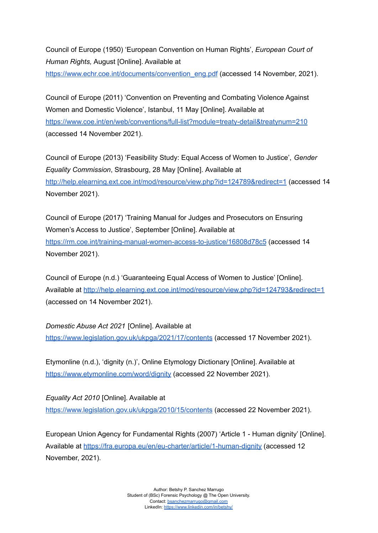Council of Europe (1950) 'European Convention on Human Rights', *European Court of Human Rights,* August [Online]. Available at [https://www.echr.coe.int/documents/convention\\_eng.pdf](https://www.echr.coe.int/documents/convention_eng.pdf) (accessed 14 November, 2021).

Council of Europe (2011) 'Convention on Preventing and Combating Violence Against Women and Domestic Violence', Istanbul, 11 May [Online]. Available at <https://www.coe.int/en/web/conventions/full-list?module=treaty-detail&treatynum=210> (accessed 14 November 2021).

Council of Europe (2013) 'Feasibility Study: Equal Access of Women to Justice', *Gender Equality Commission*, Strasbourg, 28 May [Online]. Available at <http://help.elearning.ext.coe.int/mod/resource/view.php?id=124789&redirect=1> (accessed 14 November 2021).

Council of Europe (2017) 'Training Manual for Judges and Prosecutors on Ensuring Women's Access to Justice', September [Online]. Available at <https://rm.coe.int/training-manual-women-access-to-justice/16808d78c5> (accessed 14 November 2021).

Council of Europe (n.d.) 'Guaranteeing Equal Access of Women to Justice' [Online]. Available at <http://help.elearning.ext.coe.int/mod/resource/view.php?id=124793&redirect=1> (accessed on 14 November 2021).

*Domestic Abuse Act 2021* [Online]. Available at <https://www.legislation.gov.uk/ukpga/2021/17/contents> (accessed 17 November 2021).

Etymonline (n.d.), 'dignity (n.)', Online Etymology Dictionary [Online]. Available at <https://www.etymonline.com/word/dignity> (accessed 22 November 2021).

*Equality Act 2010* [Online]. Available at <https://www.legislation.gov.uk/ukpga/2010/15/contents> (accessed 22 November 2021).

European Union Agency for Fundamental Rights (2007) 'Article 1 - Human dignity' [Online]. Available at <https://fra.europa.eu/en/eu-charter/article/1-human-dignity> (accessed 12 November, 2021).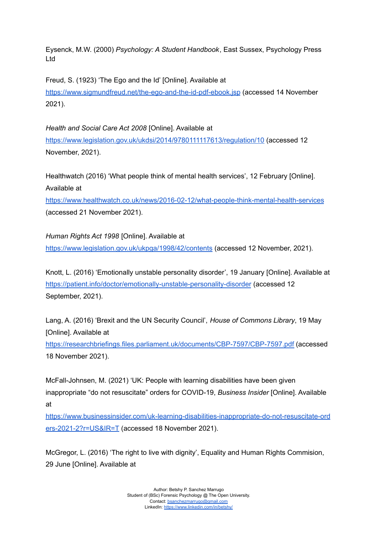Eysenck, M.W. (2000) *Psychology: A Student Handbook*, East Sussex, Psychology Press Ltd

Freud, S. (1923) 'The Ego and the Id' [Online]. Available at <https://www.sigmundfreud.net/the-ego-and-the-id-pdf-ebook.jsp> (accessed 14 November 2021).

*Health and Social Care Act 2008* [Online]. Available at <https://www.legislation.gov.uk/ukdsi/2014/9780111117613/regulation/10> (accessed 12 November, 2021).

Healthwatch (2016) 'What people think of mental health services', 12 February [Online]. Available at

<https://www.healthwatch.co.uk/news/2016-02-12/what-people-think-mental-health-services> (accessed 21 November 2021).

*Human Rights Act 1998* [Online]. Available at <https://www.legislation.gov.uk/ukpga/1998/42/contents> (accessed 12 November, 2021).

Knott, L. (2016) 'Emotionally unstable personality disorder', 19 January [Online]. Available at <https://patient.info/doctor/emotionally-unstable-personality-disorder> (accessed 12 September, 2021).

Lang, A. (2016) 'Brexit and the UN Security Council', *House of Commons Library*, 19 May [Online]. Available at

<https://researchbriefings.files.parliament.uk/documents/CBP-7597/CBP-7597.pdf> (accessed 18 November 2021).

McFall-Johnsen, M. (2021) 'UK: People with learning disabilities have been given inappropriate "do not resuscitate" orders for COVID-19, *Business Insider* [Online]. Available at

[https://www.businessinsider.com/uk-learning-disabilities-inappropriate-do-not-resuscitate-ord](https://www.businessinsider.com/uk-learning-disabilities-inappropriate-do-not-resuscitate-orders-2021-2?r=US&IR=T) [ers-2021-2?r=US&IR=T](https://www.businessinsider.com/uk-learning-disabilities-inappropriate-do-not-resuscitate-orders-2021-2?r=US&IR=T) (accessed 18 November 2021).

McGregor, L. (2016) 'The right to live with dignity', Equality and Human Rights Commision, 29 June [Online]. Available at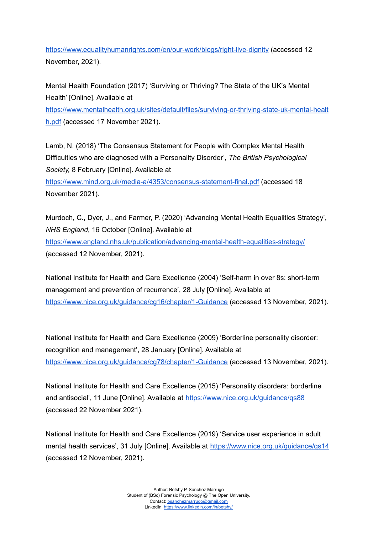<https://www.equalityhumanrights.com/en/our-work/blogs/right-live-dignity> (accessed 12 November, 2021).

Mental Health Foundation (2017) 'Surviving or Thriving? The State of the UK's Mental Health' [Online]. Available at

[https://www.mentalhealth.org.uk/sites/default/files/surviving-or-thriving-state-uk-mental-healt](https://www.mentalhealth.org.uk/sites/default/files/surviving-or-thriving-state-uk-mental-health.pdf) [h.pdf](https://www.mentalhealth.org.uk/sites/default/files/surviving-or-thriving-state-uk-mental-health.pdf) (accessed 17 November 2021).

Lamb, N. (2018) 'The Consensus Statement for People with Complex Mental Health Difficulties who are diagnosed with a Personality Disorder', *The British Psychological Society,* 8 February [Online]. Available at <https://www.mind.org.uk/media-a/4353/consensus-statement-final.pdf> (accessed 18

November 2021).

Murdoch, C., Dyer, J., and Farmer, P. (2020) 'Advancing Mental Health Equalities Strategy', *NHS England*, 16 October [Online]. Available at

<https://www.england.nhs.uk/publication/advancing-mental-health-equalities-strategy/> (accessed 12 November, 2021).

National Institute for Health and Care Excellence (2004) 'Self-harm in over 8s: short-term management and prevention of recurrence', 28 July [Online]. Available at <https://www.nice.org.uk/guidance/cg16/chapter/1-Guidance> (accessed 13 November, 2021).

National Institute for Health and Care Excellence (2009) 'Borderline personality disorder: recognition and management', 28 January [Online]. Available at <https://www.nice.org.uk/guidance/cg78/chapter/1-Guidance> (accessed 13 November, 2021).

National Institute for Health and Care Excellence (2015) 'Personality disorders: borderline and antisocial', 11 June [Online]. Available at <https://www.nice.org.uk/guidance/qs88> (accessed 22 November 2021).

National Institute for Health and Care Excellence (2019) 'Service user experience in adult mental health services', 31 July [Online]. Available at https://www.nice.org.uk/quidance/qs14 (accessed 12 November, 2021).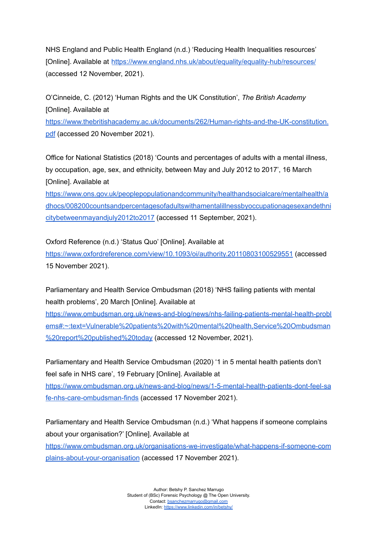NHS England and Public Health England (n.d.) 'Reducing Health Inequalities resources' [Online]. Available at <https://www.england.nhs.uk/about/equality/equality-hub/resources/> (accessed 12 November, 2021).

O'Cinneide, C. (2012) 'Human Rights and the UK Constitution', *The British Academy* [Online]. Available at

[https://www.thebritishacademy.ac.uk/documents/262/Human-rights-and-the-UK-constitution.](https://www.thebritishacademy.ac.uk/documents/262/Human-rights-and-the-UK-constitution.pdf) [pdf](https://www.thebritishacademy.ac.uk/documents/262/Human-rights-and-the-UK-constitution.pdf) (accessed 20 November 2021).

Office for National Statistics (2018) 'Counts and percentages of adults with a mental illness, by occupation, age, sex, and ethnicity, between May and July 2012 to 2017', 16 March [Online]. Available at

[https://www.ons.gov.uk/peoplepopulationandcommunity/healthandsocialcare/mentalhealth/a](https://www.ons.gov.uk/peoplepopulationandcommunity/healthandsocialcare/mentalhealth/adhocs/008200countsandpercentagesofadultswithamentalillnessbyoccupationagesexandethnicitybetweenmayandjuly2012to2017) [dhocs/008200countsandpercentagesofadultswithamentalillnessbyoccupationagesexandethni](https://www.ons.gov.uk/peoplepopulationandcommunity/healthandsocialcare/mentalhealth/adhocs/008200countsandpercentagesofadultswithamentalillnessbyoccupationagesexandethnicitybetweenmayandjuly2012to2017) [citybetweenmayandjuly2012to2017](https://www.ons.gov.uk/peoplepopulationandcommunity/healthandsocialcare/mentalhealth/adhocs/008200countsandpercentagesofadultswithamentalillnessbyoccupationagesexandethnicitybetweenmayandjuly2012to2017) (accessed 11 September, 2021).

Oxford Reference (n.d.) 'Status Quo' [Online]. Available at <https://www.oxfordreference.com/view/10.1093/oi/authority.20110803100529551> (accessed 15 November 2021).

Parliamentary and Health Service Ombudsman (2018) 'NHS failing patients with mental health problems', 20 March [Online]. Available at

[https://www.ombudsman.org.uk/news-and-blog/news/nhs-failing-patients-mental-health-probl](https://www.ombudsman.org.uk/news-and-blog/news/nhs-failing-patients-mental-health-problems#:~:text=Vulnerable%20patients%20with%20mental%20health,Service%20Ombudsman%20report%20published%20today) [ems#:~:text=Vulnerable%20patients%20with%20mental%20health,Service%20Ombudsman](https://www.ombudsman.org.uk/news-and-blog/news/nhs-failing-patients-mental-health-problems#:~:text=Vulnerable%20patients%20with%20mental%20health,Service%20Ombudsman%20report%20published%20today) [%20report%20published%20today](https://www.ombudsman.org.uk/news-and-blog/news/nhs-failing-patients-mental-health-problems#:~:text=Vulnerable%20patients%20with%20mental%20health,Service%20Ombudsman%20report%20published%20today) (accessed 12 November, 2021).

Parliamentary and Health Service Ombudsman (2020) '1 in 5 mental health patients don't feel safe in NHS care', 19 February [Online]. Available at [https://www.ombudsman.org.uk/news-and-blog/news/1-5-mental-health-patients-dont-feel-sa](https://www.ombudsman.org.uk/news-and-blog/news/1-5-mental-health-patients-dont-feel-safe-nhs-care-ombudsman-finds) [fe-nhs-care-ombudsman-finds](https://www.ombudsman.org.uk/news-and-blog/news/1-5-mental-health-patients-dont-feel-safe-nhs-care-ombudsman-finds) (accessed 17 November 2021).

Parliamentary and Health Service Ombudsman (n.d.) 'What happens if someone complains about your organisation?' [Online]. Available at [https://www.ombudsman.org.uk/organisations-we-investigate/what-happens-if-someone-com](https://www.ombudsman.org.uk/organisations-we-investigate/what-happens-if-someone-complains-about-your-organisation) [plains-about-your-organisation](https://www.ombudsman.org.uk/organisations-we-investigate/what-happens-if-someone-complains-about-your-organisation) (accessed 17 November 2021).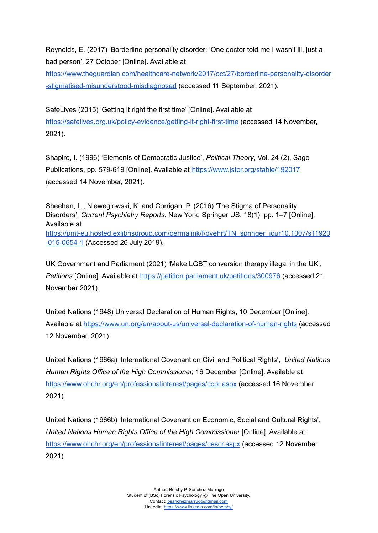Reynolds, E. (2017) 'Borderline personality disorder: 'One doctor told me I wasn't ill, just a bad person', 27 October [Online]. Available at

[https://www.theguardian.com/healthcare-network/2017/oct/27/borderline-personality-disorder](https://www.theguardian.com/healthcare-network/2017/oct/27/borderline-personality-disorder-stigmatised-misunderstood-misdiagnosed) [-stigmatised-misunderstood-misdiagnosed](https://www.theguardian.com/healthcare-network/2017/oct/27/borderline-personality-disorder-stigmatised-misunderstood-misdiagnosed) (accessed 11 September, 2021).

SafeLives (2015) 'Getting it right the first time' [Online]. Available at <https://safelives.org.uk/policy-evidence/getting-it-right-first-time> (accessed 14 November, 2021).

Shapiro, I. (1996) 'Elements of Democratic Justice', *Political Theory*, Vol. 24 (2), Sage Publications, pp. 579-619 [Online]. Available at <https://www.jstor.org/stable/192017> (accessed 14 November, 2021).

Sheehan, L., Nieweglowski, K. and Corrigan, P. (2016) 'The Stigma of Personality Disorders', *Current Psychiatry Reports*. New York: Springer US, 18(1), pp. 1–7 [Online]. Available at [https://pmt-eu.hosted.exlibrisgroup.com/permalink/f/gvehrt/TN\\_springer\\_jour10.1007/s11920](https://pmt-eu.hosted.exlibrisgroup.com/permalink/f/gvehrt/TN_springer_jour10.1007/s11920-015-0654-1) [-015-0654-1](https://pmt-eu.hosted.exlibrisgroup.com/permalink/f/gvehrt/TN_springer_jour10.1007/s11920-015-0654-1) (Accessed 26 July 2019).

UK Government and Parliament (2021) 'Make LGBT conversion therapy illegal in the UK', *Petitions* [Online]. Available at <https://petition.parliament.uk/petitions/300976> (accessed 21 November 2021).

United Nations (1948) Universal Declaration of Human Rights, 10 December [Online]. Available at <https://www.un.org/en/about-us/universal-declaration-of-human-rights> (accessed 12 November, 2021).

United Nations (1966a) 'International Covenant on Civil and Political Rights', *United Nations Human Rights Office of the High Commissioner,* 16 December [Online]. Available at <https://www.ohchr.org/en/professionalinterest/pages/ccpr.aspx> (accessed 16 November 2021).

United Nations (1966b) 'International Covenant on Economic, Social and Cultural Rights', *United Nations Human Rights Office of the High Commissioner* [Online]. Available at <https://www.ohchr.org/en/professionalinterest/pages/cescr.aspx> (accessed 12 November 2021).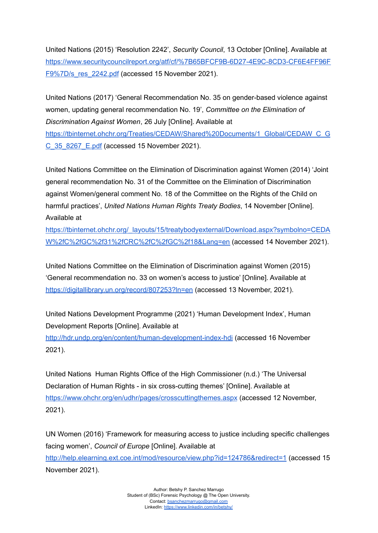United Nations (2015) 'Resolution 2242', *Security Council*, 13 October [Online]. Available at [https://www.securitycouncilreport.org/atf/cf/%7B65BFCF9B-6D27-4E9C-8CD3-CF6E4FF96F](https://www.securitycouncilreport.org/atf/cf/%7B65BFCF9B-6D27-4E9C-8CD3-CF6E4FF96FF9%7D/s_res_2242.pdf) F9%7D/s res 2242.pdf (accessed 15 November 2021).

United Nations (2017) 'General Recommendation No. 35 on gender-based violence against women, updating general recommendation No. 19', *Committee on the Elimination of Discrimination Against Women*, 26 July [Online]. Available at [https://tbinternet.ohchr.org/Treaties/CEDAW/Shared%20Documents/1\\_Global/CEDAW\\_C\\_G](https://tbinternet.ohchr.org/Treaties/CEDAW/Shared%20Documents/1_Global/CEDAW_C_GC_35_8267_E.pdf) [C\\_35\\_8267\\_E.pdf](https://tbinternet.ohchr.org/Treaties/CEDAW/Shared%20Documents/1_Global/CEDAW_C_GC_35_8267_E.pdf) (accessed 15 November 2021).

United Nations Committee on the Elimination of Discrimination against Women (2014) 'Joint general recommendation No. 31 of the Committee on the Elimination of Discrimination against Women/general comment No. 18 of the Committee on the Rights of the Child on harmful practices', *United Nations Human Rights Treaty Bodies*, 14 November [Online]. Available at

[https://tbinternet.ohchr.org/\\_layouts/15/treatybodyexternal/Download.aspx?symbolno=CEDA](https://tbinternet.ohchr.org/_layouts/15/treatybodyexternal/Download.aspx?symbolno=CEDAW%2fC%2fGC%2f31%2fCRC%2fC%2fGC%2f18&Lang=en) [W%2fC%2fGC%2f31%2fCRC%2fC%2fGC%2f18&Lang=en](https://tbinternet.ohchr.org/_layouts/15/treatybodyexternal/Download.aspx?symbolno=CEDAW%2fC%2fGC%2f31%2fCRC%2fC%2fGC%2f18&Lang=en) (accessed 14 November 2021).

United Nations Committee on the Elimination of Discrimination against Women (2015) 'General recommendation no. 33 on women's access to justice' [Online]. Available at <https://digitallibrary.un.org/record/807253?ln=en> (accessed 13 November, 2021).

United Nations Development Programme (2021) 'Human Development Index', Human Development Reports [Online]. Available at <http://hdr.undp.org/en/content/human-development-index-hdi> (accessed 16 November 2021).

United Nations Human Rights Office of the High Commissioner (n.d.) 'The Universal Declaration of Human Rights - in six cross-cutting themes' [Online]. Available at <https://www.ohchr.org/en/udhr/pages/crosscuttingthemes.aspx> (accessed 12 November, 2021).

UN Women (2016) 'Framework for measuring access to justice including specific challenges facing women', *Council of Europe* [Online]. Available at <http://help.elearning.ext.coe.int/mod/resource/view.php?id=124786&redirect=1> (accessed 15 November 2021).